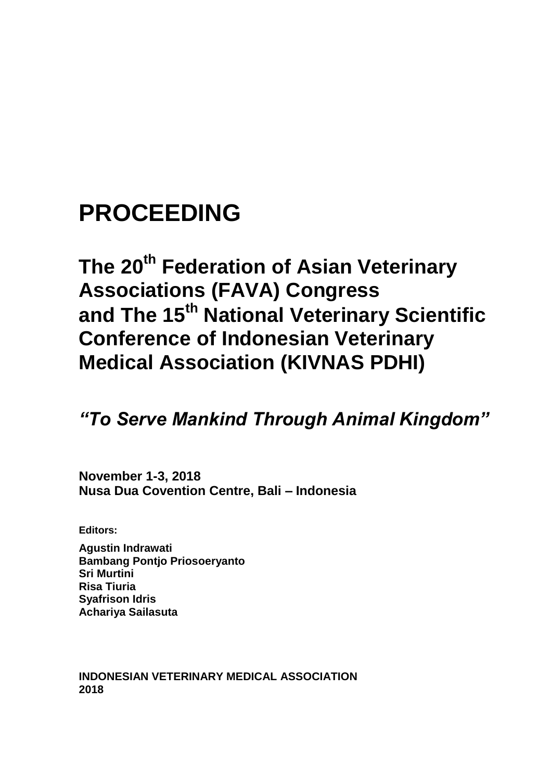# **PROCEEDING**

## **The 20th Federation of Asian Veterinary Associations (FAVA) Congress and The 15th National Veterinary Scientific Conference of Indonesian Veterinary Medical Association (KIVNAS PDHI)**

## *"To Serve Mankind Through Animal Kingdom"*

**November 1-3, 2018 Nusa Dua Covention Centre, Bali – Indonesia**

**Editors:**

**Agustin Indrawati Bambang Pontjo Priosoeryanto Sri Murtini Risa Tiuria Syafrison Idris Achariya Sailasuta**

**INDONESIAN VETERINARY MEDICAL ASSOCIATION 2018**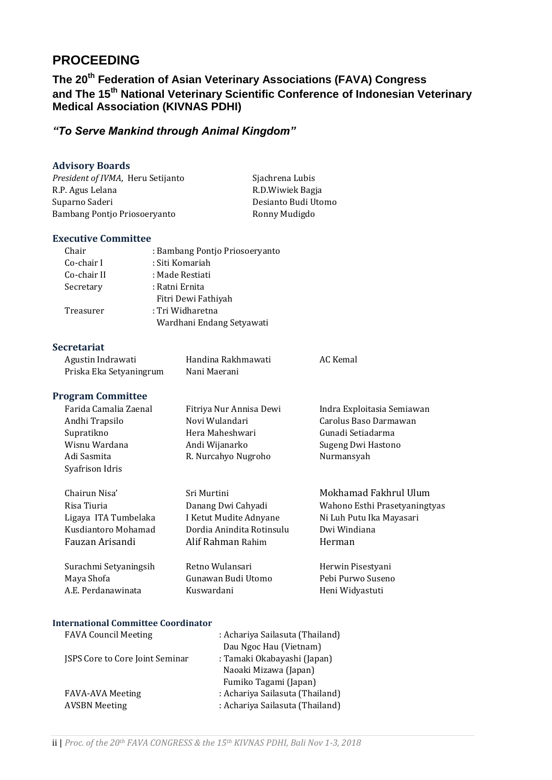### **PROCEEDING**

### **The 20th Federation of Asian Veterinary Associations (FAVA) Congress and The 15th National Veterinary Scientific Conference of Indonesian Veterinary Medical Association (KIVNAS PDHI)**

#### *"To Serve Mankind through Animal Kingdom"*

#### **Advisory Boards**

President of IVMA, Heru Setijanto Sjachrena Lubis R.P. Agus Lelana R.D.Wiwiek Bagja Suparno Saderi **Desianto Budi Utomo** Bambang Pontjo Priosoeryanto **Ronny Mudigdo** 

#### **Executive Committee**

| Chair       | : Bambang Pontjo Priosoeryanto |
|-------------|--------------------------------|
| Co-chair I  | : Siti Komariah                |
| Co-chair II | : Made Restiati                |
| Secretary   | : Ratni Ernita                 |
|             | Fitri Dewi Fathiyah            |
| Treasurer   | : Tri Widharetna               |
|             | Wardhani Endang Setyawati      |

#### **Secretariat**

| Agustin Indrawati       | Handina Rakhmawati | AC Kemal |
|-------------------------|--------------------|----------|
| Priska Eka Setyaningrum | Nani Maerani       |          |

#### **Program Committee**

| Farida Camalia Zaenal | Fitriya Nur Annisa Dewi | Indra Exploitasia Semiawan |
|-----------------------|-------------------------|----------------------------|
| Andhi Trapsilo        | Novi Wulandari          | Carolus Baso Darmawan      |
| Supratikno            | Hera Maheshwari         | Gunadi Setiadarma          |
| Wisnu Wardana         | Andi Wijanarko          | Sugeng Dwi Hastono         |
| Adi Sasmita           | R. Nurcahyo Nugroho     | Nurmansyah                 |
| Syafrison Idris       |                         |                            |

| Chairun Nisa'        | Sri Murtini               | Mokhamad Fakhrul Ulum         |
|----------------------|---------------------------|-------------------------------|
| Risa Tiuria          | Danang Dwi Cahyadi        | Wahono Esthi Prasetyaningtyas |
| Ligaya ITA Tumbelaka | I Ketut Mudite Adnyane    | Ni Luh Putu Ika Mayasari      |
| Kusdiantoro Mohamad  | Dordia Anindita Rotinsulu | Dwi Windiana                  |
| Fauzan Arisandi      | Alif Rahman Rahim         | Herman                        |
|                      |                           |                               |

Surachmi Setyaningsih Retno Wulansari **Herwin Pisestyani** Maya Shofa Gunawan Budi Utomo Pebi Purwo Suseno A.E. Perdanawinata Kuswardani Kuswardani Heni Widyastuti

#### **International Committee Coordinator**

| <b>FAVA Council Meeting</b>            | : Achariya Sailasuta (Thailand) |
|----------------------------------------|---------------------------------|
|                                        | Dau Ngoc Hau (Vietnam)          |
| <b>JSPS Core to Core Joint Seminar</b> | : Tamaki Okabayashi (Japan)     |
|                                        | Naoaki Mizawa (Japan)           |
|                                        | Fumiko Tagami (Japan)           |
| <b>FAVA-AVA Meeting</b>                | : Achariya Sailasuta (Thailand) |
| <b>AVSBN</b> Meeting                   | : Achariya Sailasuta (Thailand) |